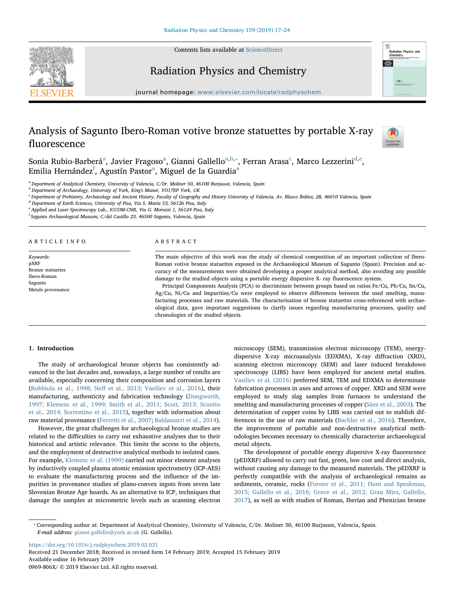Contents lists available at [ScienceDirect](http://www.sciencedirect.com/science/journal/0969806X)





## Radiation Physics and Chemistry

journal homepage: [www.elsevier.com/locate/radphyschem](https://www.elsevier.com/locate/radphyschem)

# Analysis of Sagunto Ibero-Roman votive bronze statuettes by portable X-ray fluorescence



Soni[a](#page-0-0) Rubio-Barberá<sup>a</sup>, Javier Fragoso<sup>a</sup>, Gianni Gallello<sup>[a,](#page-0-0)[b](#page-0-1),</sup>\*, Ferran Arasa<sup>[c](#page-0-3)</sup>, Marco Lezzerini<sup>[d](#page-0-4)[,e](#page-0-5)</sup>, Emilia Hernández<sup>[f](#page-0-6)</sup>, Agustín P[a](#page-0-0)stor<sup>a</sup>, Miguel de la Guardia<sup>a</sup>

<span id="page-0-0"></span><sup>a</sup> Department of Analytical Chemistry, University of Valencia, C/Dr. Moliner 50, 46100 Burjassot, Valencia, Spain

<span id="page-0-1"></span>b Department of Archaeology, University of York, King's Manor, YO17EP York, UK

<span id="page-0-3"></span><sup>c</sup> Department of Prehistory, Archaeology and Ancient History, Faculty of Geography and History University of Valencia, Av. Blasco Ibáñez, 28, 46010 Valencia, Spain

<span id="page-0-4"></span><sup>d</sup> Department of Earth Sciences, University of Pisa, Via S. Maria 53, 56126 Pisa, Italy

<span id="page-0-5"></span><sup>2</sup> Applied and Laser Spectroscopy Lab., ICCOM-CNR, Via G. Moruzzi 1, 56124 Pisa, Italy

<span id="page-0-6"></span><sup>f</sup> Sagunto Archaeological Museum, C/del Castillo 23, 46500 Sagunto, Valencia, Spain

#### ARTICLE INFO

Keywords: pXRF Bronze statuettes Ibero-Roman Sagunto Metals provenance

#### ABSTRACT

The main objective of this work was the study of chemical composition of an important collection of Ibero-Roman votive bronze statuettes exposed in the Archaeological Museum of Sagunto (Spain). Precision and accuracy of the measurements were obtained developing a proper analytical method, also avoiding any possible damage to the studied objects using a portable energy dispersive X- ray fluorescence system.

Principal Components Analysis (PCA) to discriminate between groups based on ratios Fe/Cu, Pb/Cu, Sn/Cu, Ag/Cu, Ni/Cu and Impurities/Cu were employed to observe differences between the used smelting, manufacturing processes and raw materials. The characterisation of bronze statuettes cross-referenced with archaeological data, gave important suggestions to clarify issues regarding manufacturing processes, quality and chronologies of the studied objects.

#### 1. Introduction

The study of archaeological bronze objects has consistently advanced in the last decades and, nowadays, a large number of results are available, especially concerning their composition and corrosion layers (Robbiola et al., 1998; Neff [et al., 2013; Vasiliev et al., 2016](#page-7-0)), their manufacturing, authenticity and fabrication technology ([Dungworth,](#page-7-1) [1997; Klemenc et al., 1999; Smith et al., 2011; Scott, 2013; Scuotto](#page-7-1) [et al., 2014; Sorrentino et al., 2015\)](#page-7-1), together with information about raw material provenance ([Ferretti et al., 2007](#page-7-2); [Baldassarri et al., 2014](#page-7-3)).

However, the great challenges for archaeological bronze studies are related to the difficulties to carry out exhaustive analyses due to their historical and artistic relevance. This limits the access to the objects, and the employment of destructive analytical methods to isolated cases. For example, [Klemenc et al. \(1999\)](#page-7-4) carried out minor element analyses by inductively coupled plasma atomic emission spectrometry (ICP-AES) to evaluate the manufacturing process and the influence of the impurities in provenance studies of plano-convex ingots from seven late Slovenian Bronze Age hoards. As an alternative to ICP, techniques that damage the samples at micrometric levels such as scanning electron

microscopy (SEM), transmission electron microscopy (TEM), energydispersive X-ray microanalysis (EDXMA), X-ray diffraction (XRD), scanning electron microscopy (SEM) and laser induced breakdown spectroscopy (LIBS) have been employed for ancient metal studies. [Vasiliev et al. \(2016\)](#page-7-5) preferred SEM, TEM and EDXMA to determinate fabrication processes in axes and arrows of copper. XRD and SEM were employed to study slag samples from furnaces to understand the smelting and manufacturing processes of copper [\(Sáez et al., 2003](#page-7-6)). The determination of copper coins by LIBS was carried out to stablish differences in the use of raw materials [\(Bachler et al., 2016\)](#page-7-7). Therefore, the improvement of portable and non-destructive analytical methodologies becomes necessary to chemically characterize archaeological metal objects.

The development of portable energy dispersive X-ray fluorescence (pEDXRF) allowed to carry out fast, green, low cost and direct analysis, without causing any damage to the measured materials. The pEDXRF is perfectly compatible with the analysis of archaeological remains as sediments, ceramic, rocks ([Forster et al., 2011; Hunt and Speakman,](#page-7-8) [2015; Gallello et al., 2016; Grave et al., 2012; Grau Mira, Gallello,](#page-7-8) [2017\)](#page-7-8), as well as with studies of Roman, Iberian and Phenician bronze

<https://doi.org/10.1016/j.radphyschem.2019.02.031>

Received 21 December 2018; Received in revised form 14 February 2019; Accepted 15 February 2019 Available online 16 February 2019 0969-806X/ © 2019 Elsevier Ltd. All rights reserved.

<span id="page-0-2"></span><sup>⁎</sup> Corresponding author at: Department of Analytical Chemistry, University of Valencia, C/Dr. Moliner 50, 46100 Burjassot, Valencia, Spain. E-mail address: [gianni.gallello@york.ac.uk](mailto:gianni.gallello@york.ac.uk) (G. Gallello).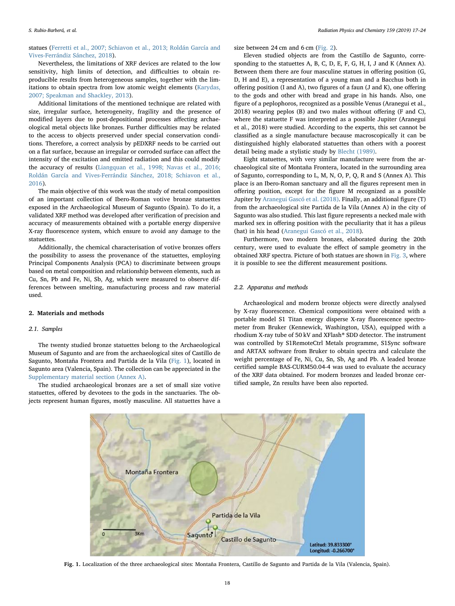statues ([Ferretti et al., 2007; Schiavon et al., 2013; Roldán García and](#page-7-2) [Vives-Ferrándiz Sánchez, 2018\)](#page-7-2).

Nevertheless, the limitations of XRF devices are related to the low sensitivity, high limits of detection, and difficulties to obtain reproducible results from heterogeneous samples, together with the limitations to obtain spectra from low atomic weight elements [\(Karydas,](#page-7-9) [2007; Speakman and Shackley, 2013](#page-7-9)).

Additional limitations of the mentioned technique are related with size, irregular surface, heterogeneity, fragility and the presence of modified layers due to post-depositional processes affecting archaeological metal objects like bronzes. Further difficulties may be related to the access to objects preserved under special conservation conditions. Therefore, a correct analysis by pEDXRF needs to be carried out on a flat surface, because an irregular or corroded surface can affect the intensity of the excitation and emitted radiation and this could modify the accuracy of results [\(Liangquan et al., 1998; Navas et al., 2016;](#page-7-10) [Roldán García and Vives-Ferrándiz Sánchez, 2018; Schiavon et al.,](#page-7-10) [2016\)](#page-7-10).

The main objective of this work was the study of metal composition of an important collection of Ibero-Roman votive bronze statuettes exposed in the Archaeological Museum of Sagunto (Spain). To do it, a validated XRF method was developed after verification of precision and accuracy of measurements obtained with a portable energy dispersive X-ray fluorescence system, which ensure to avoid any damage to the statuettes.

Additionally, the chemical characterisation of votive bronzes offers the possibility to assess the provenance of the statuettes, employing Principal Components Analysis (PCA) to discriminate between groups based on metal composition and relationship between elements, such as Cu, Sn, Pb and Fe, Ni, Sb, Ag, which were measured to observe differences between smelting, manufacturing process and raw material used.

## 2. Materials and methods

## 2.1. Samples

The twenty studied bronze statuettes belong to the Archaeological Museum of Sagunto and are from the archaeological sites of Castillo de Sagunto, Montaña Frontera and Partida de la Vila [\(Fig. 1\)](#page-1-0), located in Sagunto area (Valencia, Spain). The collection can be appreciated in the Supplementary material section (Annex A).

<span id="page-1-0"></span>The studied archaeological bronzes are a set of small size votive statuettes, offered by devotees to the gods in the sanctuaries. The objects represent human figures, mostly masculine. All statuettes have a

size between 24 cm and 6 cm [\(Fig. 2\)](#page-2-0).

Eleven studied objects are from the Castillo de Sagunto, corresponding to the statuettes A, B, C, D, E, F, G, H, I, J and K (Annex A). Between them there are four masculine statues in offering position (G, D, H and E), a representation of a young man and a Bacchus both in offering position (I and A), two figures of a faun (J and K), one offering to the gods and other with bread and grape in his hands. Also, one figure of a peplophoros, recognized as a possible Venus (Aranegui et al., 2018) wearing peplos (B) and two males without offering (F and C), where the statuette F was interpreted as a possible Jupiter (Aranegui et al., 2018) were studied. According to the experts, this set cannot be classified as a single manufacture because macroscopically it can be distinguished highly elaborated statuettes than others with a poorest detail being made a stylistic study by Blecht [\(1989\)](#page-7-11).

Eight statuettes, with very similar manufacture were from the archaeological site of Montaña Frontera, located in the surrounding area of Sagunto, corresponding to L, M, N, O, P, Q, R and S (Annex A). This place is an Ibero-Roman sanctuary and all the figures represent men in offering position, except for the figure M recognized as a possible Jupiter by [Aranegui Gascó et al. \(2018\).](#page-7-12) Finally, an additional figure (T) from the archaeological site Partida de la Vila (Annex A) in the city of Sagunto was also studied. This last figure represents a necked male with marked sex in offering position with the peculiarity that it has a pileus (hat) in his head ([Aranegui Gascó et al., 2018\)](#page-7-12).

Furthermore, two modern bronzes, elaborated during the 20th century, were used to evaluate the effect of sample geometry in the obtained XRF spectra. Picture of both statues are shown in [Fig. 3,](#page-2-1) where it is possible to see the different measurement positions.

## 2.2. Apparatus and methods

Archaeological and modern bronze objects were directly analysed by X-ray fluorescence. Chemical compositions were obtained with a portable model S1 Titan energy disperse X-ray fluorescence spectrometer from Bruker (Kennewick, Washington, USA), equipped with a rhodium X-ray tube of 50 kV and XFlash® SDD detector. The instrument was controlled by S1RemoteCtrl Metals programme, S1Sync software and ARTAX software from Bruker to obtain spectra and calculate the weight percentage of Fe, Ni, Cu, Sn, Sb, Ag and Pb. A leaded bronze certified sample BAS-CURM50.04-4 was used to evaluate the accuracy of the XRF data obtained. For modern bronzes and leaded bronze certified sample, Zn results have been also reported.



Fig. 1. Localization of the three archaeological sites: Montaña Frontera, Castillo de Sagunto and Partida de la Vila (Valencia, Spain).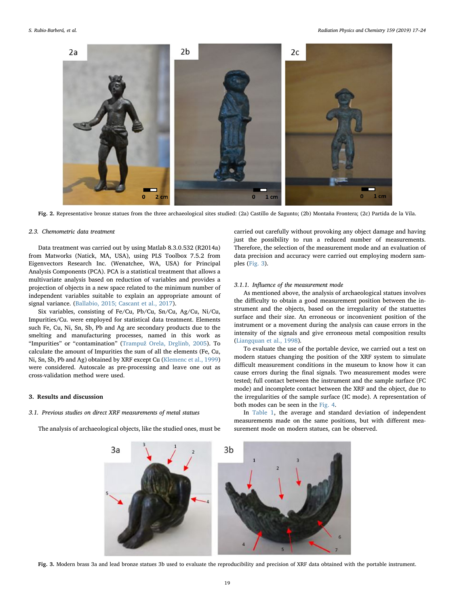<span id="page-2-0"></span>

Fig. 2. Representative bronze statues from the three archaeological sites studied: (2a) Castillo de Sagunto; (2b) Montaña Frontera; (2c) Partida de la Vila.

#### 2.3. Chemometric data treatment

Data treatment was carried out by using Matlab 8.3.0.532 (R2014a) from Matworks (Natick, MA, USA), using PLS Toolbox 7.5.2 from Eigenvectors Research Inc. (Wenatchee, WA, USA) for Principal Analysis Components (PCA). PCA is a statistical treatment that allows a multivariate analysis based on reduction of variables and provides a projection of objects in a new space related to the minimum number of independent variables suitable to explain an appropriate amount of signal variance. ([Ballabio, 2015; Cascant et al., 2017](#page-7-13)).

Six variables, consisting of Fe/Cu, Pb/Cu, Sn/Cu, Ag/Cu, Ni/Cu, Impurities/Cu. were employed for statistical data treatment. Elements such Fe, Cu, Ni, Sn, Sb, Pb and Ag are secondary products due to the smelting and manufacturing processes, named in this work as "Impurities" or "contamination" (Trampuž [Orela, Drglinb, 2005\)](#page-7-14). To calculate the amount of Impurities the sum of all the elements (Fe, Cu, Ni, Sn, Sb, Pb and Ag) obtained by XRF except Cu [\(Klemenc et al., 1999\)](#page-7-4) were considered. Autoscale as pre-processing and leave one out as cross-validation method were used.

## 3. Results and discussion

## 3.1. Previous studies on direct XRF measurements of metal statues

<span id="page-2-1"></span>The analysis of archaeological objects, like the studied ones, must be

carried out carefully without provoking any object damage and having just the possibility to run a reduced number of measurements. Therefore, the selection of the measurement mode and an evaluation of data precision and accuracy were carried out employing modern samples [\(Fig. 3](#page-2-1)).

#### 3.1.1. Influence of the measurement mode

As mentioned above, the analysis of archaeological statues involves the difficulty to obtain a good measurement position between the instrument and the objects, based on the irregularity of the statuettes surface and their size. An erroneous or inconvenient position of the instrument or a movement during the analysis can cause errors in the intensity of the signals and give erroneous metal composition results ([Liangquan et al., 1998\)](#page-7-10).

To evaluate the use of the portable device, we carried out a test on modern statues changing the position of the XRF system to simulate difficult measurement conditions in the museum to know how it can cause errors during the final signals. Two measurement modes were tested; full contact between the instrument and the sample surface (FC mode) and incomplete contact between the XRF and the object, due to the irregularities of the sample surface (IC mode). A representation of both modes can be seen in the [Fig. 4](#page-3-0).

In [Table 1,](#page-3-1) the average and standard deviation of independent measurements made on the same positions, but with different measurement mode on modern statues, can be observed.



Fig. 3. Modern brass 3a and lead bronze statues 3b used to evaluate the reproducibility and precision of XRF data obtained with the portable instrument.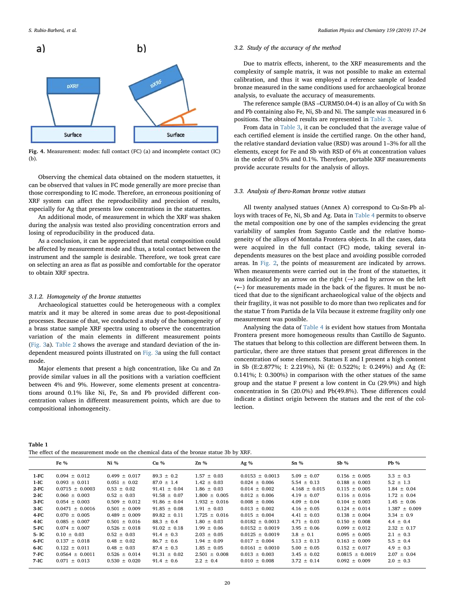<span id="page-3-0"></span>

Fig. 4. Measurement: modes: full contact (FC) (a) and incomplete contact (IC) (b).

Observing the chemical data obtained on the modern statuettes, it can be observed that values in FC mode generally are more precise than those corresponding to IC mode. Therefore, an erroneous positioning of XRF system can affect the reproducibility and precision of results, especially for Ag that presents low concentrations in the statuettes.

An additional mode, of measurement in which the XRF was shaken during the analysis was tested also providing concentration errors and losing of reproducibility in the produced data.

As a conclusion, it can be appreciated that metal composition could be affected by measurement mode and thus, a total contact between the instrument and the sample is desirable. Therefore, we took great care on selecting an area as flat as possible and comfortable for the operator to obtain XRF spectra.

#### 3.1.2. Homogeneity of the bronze statuettes

Archaeological statuettes could be heterogeneous with a complex matrix and it may be altered in some areas due to post-depositional processes. Because of that, we conducted a study of the homogeneity of a brass statue sample XRF spectra using to observe the concentration variation of the main elements in different measurement points ([Fig. 3a](#page-2-1)). [Table 2](#page-4-0) shows the average and standard deviation of the independent measured points illustrated on [Fig. 3](#page-2-1)a using the full contact mode.

Major elements that present a high concentration, like Cu and Zn provide similar values in all the positions with a variation coefficient between 4% and 9%. However, some elements present at concentrations around 0.1% like Ni, Fe, Sn and Pb provided different concentration values in different measurement points, which are due to compositional inhomogeneity.

## 3.2. Study of the accuracy of the method

Due to matrix effects, inherent, to the XRF measurements and the complexity of sample matrix, it was not possible to make an external calibration, and thus it was employed a reference sample of leaded bronze measured in the same conditions used for archaeological bronze analysis, to evaluate the accuracy of measurements.

The reference sample (BAS –CURM50.04-4) is an alloy of Cu with Sn and Pb containing also Fe, Ni, Sb and Ni. The sample was measured in 6 positions. The obtained results are represented in [Table 3.](#page-4-1)

From data in [Table 3](#page-4-1), it can be concluded that the average value of each certified element is inside the certified range. On the other hand, the relative standard deviation value (RSD) was around 1–3% for all the elements, except for Fe and Sb with RSD of 6% at concentration values in the order of 0.5% and 0.1%. Therefore, portable XRF measurements provide accurate results for the analysis of alloys.

#### 3.3. Analysis of Ibero-Roman bronze votive statues

All twenty analysed statues (Annex A) correspond to Cu-Sn-Pb alloys with traces of Fe, Ni, Sb and Ag. Data in [Table 4](#page-4-2) permits to observe the metal composition one by one of the samples evidencing the great variability of samples from Sagunto Castle and the relative homogeneity of the alloys of Montaña Frontera objects. In all the cases, data were acquired in the full contact (FC) mode, taking several independents measures on the best place and avoiding possible corroded areas. In [Fig. 2](#page-2-0), the points of measurement are indicated by arrows. When measurements were carried out in the front of the statuettes, it was indicated by an arrow on the right  $(\rightarrow)$  and by arrow on the left (←) for measurements made in the back of the figures. It must be noticed that due to the significant archaeological value of the objects and their fragility, it was not possible to do more than two replicates and for the statue T from Partida de la Vila because it extreme fragility only one measurement was possible.

Analysing the data of [Table 4](#page-4-2) is evident how statues from Montaña Frontera present more homogeneous results than Castillo de Sagunto. The statues that belong to this collection are different between them. In particular, there are three statues that present great differences in the concentration of some elements. Statues E and I present a high content in Sb (E:2.877%; I: 2.219%), Ni (E: 0.522%; I: 0.249%) and Ag (E: 0.141%; I: 0.300%) in comparison with the other statues of the same group and the statue F present a low content in Cu (29.9%) and high concentration in Sn (20.0%) and Pb(49.8%). These differences could indicate a distinct origin between the statues and the rest of the collection.

<span id="page-3-1"></span>

| Table 1                                                                                 |  |
|-----------------------------------------------------------------------------------------|--|
| The effect of the measurement mode on the chemical data of the bronze statue 3b by XRF. |  |

|         | Fe $\%$             | $Ni\%$            | Cu <sub>96</sub> | $Zn\%$            | Ag $%$              | $Sn\%$            | $Sb\%$              | $Pb\%$            |
|---------|---------------------|-------------------|------------------|-------------------|---------------------|-------------------|---------------------|-------------------|
| 1-FC    | $0.094 \pm 0.012$   | $0.499 \pm 0.017$ | $89.3 \pm 0.2$   | $1.57 \pm 0.03$   | $0.0153 \pm 0.0013$ | $5.09 \pm 0.07$   | $0.156 \pm 0.005$   | $3.3 \pm 0.3$     |
| $1-IC$  | $0.093 \pm 0.011$   | $0.051 \pm 0.02$  | $87.0 \pm 1.4$   | $1.42 \pm 0.03$   | $0.024 \pm 0.006$   | $5.54 \pm 0.13$   | $0.188 \pm 0.003$   | $5.2 \pm 1.3$     |
| $2$ -FC | $0.0715 \pm 0.0003$ | $0.53 \pm 0.02$   | $91.41 \pm 0.04$ | $1.86 \pm 0.03$   | $0.014 \pm 0.002$   | $4.168 \pm 0.015$ | $0.115 \pm 0.005$   | $1.84 \pm 0.04$   |
| $2-IC$  | $0.060 \pm 0.003$   | $0.52 \pm 0.03$   | $91.58 \pm 0.07$ | $1.800 \pm 0.005$ | $0.012 \pm 0.006$   | $4.19 \pm 0.07$   | $0.116 \pm 0.016$   | $1.72 \pm 0.04$   |
| $3-FC$  | $0.054 \pm 0.003$   | $0.509 \pm 0.012$ | $91.86 \pm 0.04$ | $1.932 \pm 0.016$ | $0.008 \pm 0.006$   | $4.09 \pm 0.04$   | $0.104 \pm 0.003$   | $1.45 \pm 0.06$   |
| $3-IC$  | $0.0471 \pm 0.0016$ | $0.501 \pm 0.009$ | $91.85 \pm 0.08$ | $1.91 \pm 0.03$   | $0.013 \pm 0.002$   | $4.16 \pm 0.05$   | $0.124 \pm 0.014$   | $1.387 \pm 0.009$ |
| 4-FC    | $0.070 \pm 0.005$   | $0.489 \pm 0.009$ | $89.82 \pm 0.11$ | $1.725 \pm 0.016$ | $0.015 \pm 0.004$   | $4.41 \pm 0.03$   | $0.138 \pm 0.004$   | $3.34 \pm 0.9$    |
| 4-IC    | $0.085 \pm 0.007$   | $0.501 \pm 0.016$ | $88.3 \pm 0.4$   | $1.80 \pm 0.03$   | $0.0182 \pm 0.0013$ | $4.71 \pm 0.03$   | $0.150 \pm 0.008$   | $4.4 \pm 0.4$     |
| 5-FC    | $0.074 \pm 0.007$   | $0.526 \pm 0.018$ | $91.02 \pm 0.18$ | $1.99 \pm 0.06$   | $0.0152 \pm 0.0019$ | $3.95 \pm 0.06$   | $0.099 \pm 0.012$   | $2.32 \pm 0.17$   |
| 5-IC    | $0.10 \pm 0.03$     | $0.52 \pm 0.03$   | $91.4 \pm 0.3$   | $2.03 \pm 0.05$   | $0.0125 \pm 0.0019$ | $3.8 \pm 0.1$     | $0.095 \pm 0.005$   | $2.1 \pm 0.3$     |
| 6-FC    | $0.137 \pm 0.018$   | $0.48 \pm 0.02$   | $86.7 \pm 0.6$   | $1.94 \pm 0.09$   | $0.017 \pm 0.004$   | $5.13 \pm 0.13$   | $0.163 \pm 0.009$   | $5.5 \pm 0.4$     |
| 6-IC    | $0.122 \pm 0.011$   | $0.48 \pm 0.03$   | $87.4 \pm 0.3$   | $1.85 \pm 0.05$   | $0.0161 \pm 0.0010$ | $5.00 \pm 0.05$   | $0.152 \pm 0.017$   | $4.9 \pm 0.3$     |
| 7-FC    | $0.0564 \pm 0.0011$ | $0.526 \pm 0.014$ | $91.31 \pm 0.02$ | $2.501 \pm 0.008$ | $0.013 \pm 0.003$   | $3.45 \pm 0.02$   | $0.0815 \pm 0.0019$ | $2.07 \pm 0.04$   |
| 7-IC    | $0.071 \pm 0.013$   | $0.530 \pm 0.020$ | $91.4 \pm 0.6$   | $2.2 \pm 0.4$     | $0.010 \pm 0.008$   | $3.72 \pm 0.14$   | $0.092 \pm 0.009$   | $2.0 \pm 0.3$     |
|         |                     |                   |                  |                   |                     |                   |                     |                   |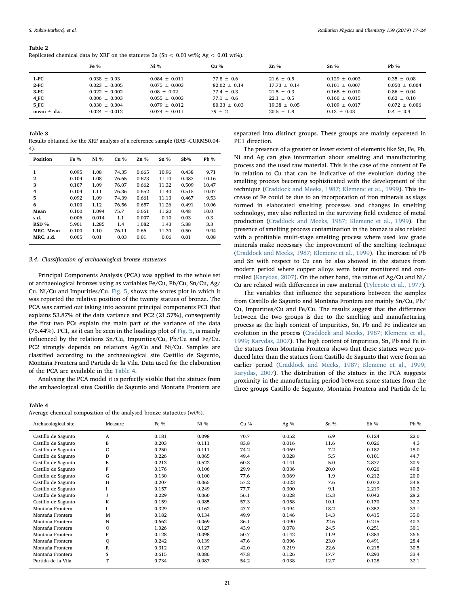#### <span id="page-4-0"></span>Table 2

|  |  |  |  |  | Replicated chemical data by XRF on the statuette 3a (Sb $\lt$ 0.01 wt%; Ag $\lt$ 0.01 wt%). |  |  |  |  |  |  |  |  |  |  |
|--|--|--|--|--|---------------------------------------------------------------------------------------------|--|--|--|--|--|--|--|--|--|--|
|--|--|--|--|--|---------------------------------------------------------------------------------------------|--|--|--|--|--|--|--|--|--|--|

|                 | Fe $%$            | $Ni\%$            | Cu %           | $Zn \%$          | $Sn\%$            | $Pb\%$            |
|-----------------|-------------------|-------------------|----------------|------------------|-------------------|-------------------|
| 1-FC            | $0.038 \pm 0.03$  | $0.084 \pm 0.011$ | $77.8 \pm 0.6$ | $21.6 \pm 0.5$   | $0.129 \pm 0.003$ | $0.35 \pm 0.08$   |
| 2 FC            | $0.023 + 0.005$   | $0.075 + 0.003$   | $82.02 + 0.14$ | $17.73 + 0.14$   | $0.101 + 0.007$   | $0.050 + 0.004$   |
| 3-FC            | $0.022 + 0.002$   | $0.08 + 0.02$     | $77.4 + 0.3$   | $21.5 + 0.3$     | $0.168 + 0.010$   | $0.86 + 0.04$     |
| 4 FC            | $0.006 \pm 0.003$ | $0.055 + 0.003$   | $77.1 + 0.6$   | $22.1 + 0.5$     | $0.160 + 0.015$   | $0.62 + 0.10$     |
| 5 FC            | $0.030 + 0.004$   | $0.079 + 0.012$   | $80.33 + 0.03$ | $19.38 \pm 0.05$ | $0.109 + 0.017$   | $0.072 \pm 0.006$ |
| mean $\pm$ d.s. | $0.024 \pm 0.012$ | $0.074 \pm 0.011$ | $79 \pm 2$     | $20.5 \pm 1.8$   | $0.13 \pm 0.03$   | $0.4 \pm 0.4$     |
|                 |                   |                   |                |                  |                   |                   |

#### <span id="page-4-1"></span>Table 3

Results obtained for the XRF analysis of a reference sample (BAS -CURM50.04- 4).

| Position                      | Fe $\%$        | $Ni$ %         | $Cu$ %         | $Zn\%$         | $Sn\%$         | Sb%            | $Pb \%$       |
|-------------------------------|----------------|----------------|----------------|----------------|----------------|----------------|---------------|
| 1<br>$\overline{2}$           | 0.095<br>0.104 | 1.08<br>1.08   | 74.35<br>76.65 | 0.665<br>0.673 | 10.96<br>11.10 | 0.438<br>0.487 | 9.71<br>10.16 |
| 3                             | 0.107          | 1.09           | 76.07          | 0.662          | 11.32          | 0.509          | 10.47         |
| 4<br>5                        | 0.104<br>0.092 | 1.11<br>1.09   | 76.36<br>74.39 | 0.652<br>0.661 | 11.40<br>11.13 | 0.515<br>0.467 | 10.07<br>9.53 |
| 6                             | 0.100          | 1.12           | 76.56          | 0.657          | 11.26          | 0.491          | 10.06         |
| Mean<br>s.d.                  | 0.100<br>0.006 | 1.094<br>0.014 | 75.7<br>1.1    | 0.661<br>0.007 | 11.20<br>0.10  | 0.48<br>0.03   | 10.0<br>0.3   |
| RSD %                         | 5.901          | 1.285          | 1.4            | 1.082          | 1.43           | 5.88           | 3.3           |
| <b>MRC.</b> Mean<br>MRC. s.d. | 0.100<br>0.005 | 1.10<br>0.01   | 76.11<br>0.03  | 0.66<br>0.01   | 11.30<br>0.06  | 0.50<br>0.01   | 9.94<br>0.08  |
|                               |                |                |                |                |                |                |               |

#### 3.4. Classification of archaeological bronze statuettes

Principal Components Analysis (PCA) was applied to the whole set of archaeological bronzes using as variables Fe/Cu, Pb/Cu, Sn/Cu, Ag/ Cu, Ni/Cu and Impurities/Cu. [Fig. 5,](#page-5-0) shows the scores plot in which it was reported the relative position of the twenty statues of bronze. The PCA was carried out taking into account principal components PC1 that explains 53.87% of the data variance and PC2 (21.57%), consequently the first two PCs explain the main part of the variance of the data (75.44%). PC1, as it can be seen in the loadings plot of [Fig. 5](#page-5-0), is mainly influenced by the relations Sn/Cu, Impurities/Cu, Pb/Cu and Fe/Cu. PC2 strongly depends on relations Ag/Cu and Ni/Cu. Samples are classified according to the archaeological site Castillo de Sagunto, Montaña Frontera and Partida de la Vila. Data used for the elaboration of the PCA are available in the [Table 4](#page-4-2).

Analysing the PCA model it is perfectly visible that the statues from the archaeological sites Castillo de Sagunto and Montaña Frontera are

<span id="page-4-2"></span>Table 4

|  |  |  | Average chemical composition of the analysed bronze statuettes (wt%). |  |
|--|--|--|-----------------------------------------------------------------------|--|
|--|--|--|-----------------------------------------------------------------------|--|

separated into distinct groups. These groups are mainly separeted in PC1 direction.

The presence of a greater or lesser extent of elements like Sn, Fe, Pb, Ni and Ag can give information about smelting and manufacturing process and the used raw material. This is the case of the content of Fe in relation to Cu that can be indicative of the evolution during the smelting process becoming sophisticated with the development of the technique ([Craddock and Meeks, 1987; Klemenc et al., 1999\)](#page-7-15). This increase of Fe could be due to an incorporation of iron minerals as slags formed in elaborated smelting processes and changes in smelting technology, may also reflected in the surviving field evidence of metal production ([Craddock and Meeks, 1987; Klemenc et al., 1999](#page-7-15)). The presence of smelting process contamination in the bronze is also related with a profitable multi-stage smelting process where used low grade minerals make necessary the improvement of the smelting technique ([Craddock and Meeks, 1987; Klemenc et al., 1999](#page-7-15)). The increase of Pb and Sn with respect to Cu can be also showed in the statues from modern period where copper alloys were better monitored and controlled ([Karydas, 2007](#page-7-9)). On the other hand, the ratios of Ag/Cu and Ni/ Cu are related with differences in raw material [\(Tylecote et al., 1977](#page-7-16)).

The variables that influence the separations between the samples from Castillo de Sagunto and Montaña Frontera are mainly Sn/Cu, Pb/ Cu, Impurities/Cu and Fe/Cu. The results suggest that the difference between the two groups is due to the smelting and manufacturing process as the high content of Impurities, Sn, Pb and Fe indicates an evolution in the process ([Craddock and Meeks, 1987; Klemenc et al.,](#page-7-15) [1999; Karydas, 2007\)](#page-7-15). The high content of Impurities, Sn, Pb and Fe in the statues from Montaña Frontera shows that these statues were produced later than the statues from Castillo de Sagunto that were from an earlier period ([Craddock and Meeks, 1987; Klemenc et al., 1999;](#page-7-15) [Karydas, 2007\)](#page-7-15). The distribution of the statues in the PCA suggests proximity in the manufacturing period between some statues from the three groups Castillo de Sagunto, Montaña Frontera and Partida de la

| Archaeological site | Measure | Fe %  | Ni %  | Cu % | Ag $%$ | $Sn\%$ | $Sb$ % | $Pb$ % |
|---------------------|---------|-------|-------|------|--------|--------|--------|--------|
| Castillo de Sagunto | A       | 0.181 | 0.098 | 70.7 | 0.052  | 6.9    | 0.124  | 22.0   |
| Castillo de Sagunto | B       | 0.203 | 0.111 | 83.8 | 0.016  | 11.6   | 0.026  | 4.3    |
| Castillo de Sagunto | C       | 0.250 | 0.111 | 74.2 | 0.069  | 7.2    | 0.187  | 18.0   |
| Castillo de Sagunto | D       | 0.226 | 0.065 | 49.4 | 0.028  | 5.5    | 0.101  | 44.7   |
| Castillo de Sagunto | E       | 0.213 | 0.522 | 60.3 | 0.141  | 5.0    | 2.877  | 30.9   |
| Castillo de Sagunto | F       | 0.176 | 0.106 | 29.9 | 0.036  | 20.0   | 0.026  | 49.8   |
| Castillo de Sagunto | G       | 0.130 | 0.100 | 77.6 | 0.069  | 1.9    | 0.212  | 20.0   |
| Castillo de Sagunto | H       | 0.207 | 0.065 | 57.2 | 0.023  | 7.6    | 0.072  | 34.8   |
| Castillo de Sagunto |         | 0.157 | 0.249 | 77.7 | 0.300  | 9.1    | 2.219  | 10.3   |
| Castillo de Sagunto |         | 0.229 | 0.060 | 56.1 | 0.028  | 15.3   | 0.042  | 28.2   |
| Castillo de Sagunto | K       | 0.159 | 0.085 | 57.3 | 0.058  | 10.1   | 0.170  | 32.2   |
| Montaña Frontera    | L       | 0.329 | 0.162 | 47.7 | 0.094  | 18.2   | 0.352  | 33.1   |
| Montaña Frontera    | M       | 0.182 | 0.134 | 49.9 | 0.146  | 14.3   | 0.415  | 35.0   |
| Montaña Frontera    | N       | 0.662 | 0.069 | 36.1 | 0.090  | 22.6   | 0.215  | 40.3   |
| Montaña Frontera    | $\circ$ | 1.026 | 0.127 | 43.9 | 0.078  | 24.5   | 0.251  | 30.1   |
| Montaña Frontera    | P       | 0.128 | 0.098 | 50.7 | 0.142  | 11.9   | 0.383  | 36.6   |
| Montaña Frontera    | Q       | 0.242 | 0.139 | 47.6 | 0.096  | 23.0   | 0.491  | 28.4   |
| Montaña Frontera    | R       | 0.312 | 0.127 | 42.0 | 0.219  | 22.6   | 0.215  | 30.5   |
| Montaña Frontera    | S       | 0.615 | 0.086 | 47.8 | 0.126  | 17.7   | 0.293  | 33.4   |
| Partida de la Vila  | T       | 0.734 | 0.087 | 54.2 | 0.038  | 12.7   | 0.128  | 32.1   |
|                     |         |       |       |      |        |        |        |        |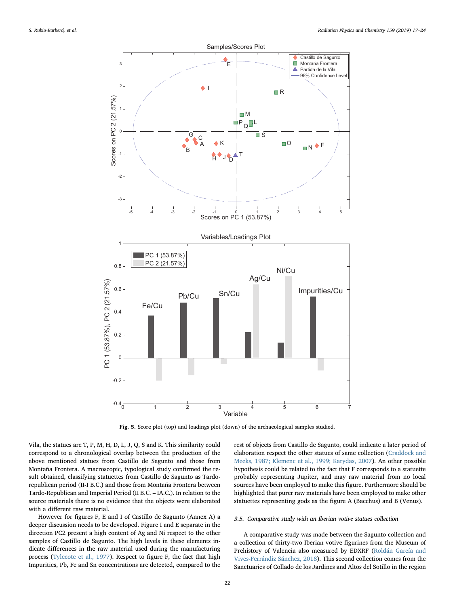<span id="page-5-0"></span>

Fig. 5. Score plot (top) and loadings plot (down) of the archaeological samples studied.

Vila, the statues are T, P, M, H, D, L, J, Q, S and K. This similarity could correspond to a chronological overlap between the production of the above mentioned statues from Castillo de Sagunto and those from Montaña Frontera. A macroscopic, typological study confirmed the result obtained, classifying statuettes from Castillo de Sagunto as Tardorepublican period (II-I B.C.) and those from Montaña Frontera between Tardo-Republican and Imperial Period (II B.C. – IA.C.). In relation to the source materials there is no evidence that the objects were elaborated with a different raw material.

However for figures F, E and I of Castillo de Sagunto (Annex A) a deeper discussion needs to be developed. Figure I and E separate in the direction PC2 present a high content of Ag and Ni respect to the other samples of Castillo de Sagunto. The high levels in these elements indicate differences in the raw material used during the manufacturing process ([Tylecote et al., 1977\)](#page-7-16). Respect to figure F, the fact that high Impurities, Pb, Fe and Sn concentrations are detected, compared to the rest of objects from Castillo de Sagunto, could indicate a later period of elaboration respect the other statues of same collection ([Craddock and](#page-7-15) [Meeks, 1987; Klemenc et al., 1999; Karydas, 2007](#page-7-15)). An other possible hypothesis could be related to the fact that F corresponds to a statuette probably representing Jupiter, and may raw material from no local sources have been employed to make this figure. Furthermore should be highlighted that purer raw materials have been employed to make other statuettes representing gods as the figure A (Bacchus) and B (Venus).

#### 3.5. Comparative study with an Iberian votive statues collection

A comparative study was made between the Sagunto collection and a collection of thirty-two Iberian votive figurines from the Museum of Prehistory of Valencia also measured by EDXRF ([Roldán García and](#page-7-17) [Vives-Ferrándiz Sánchez, 2018](#page-7-17)). This second collection comes from the Sanctuaries of Collado de los Jardines and Altos del Sotillo in the region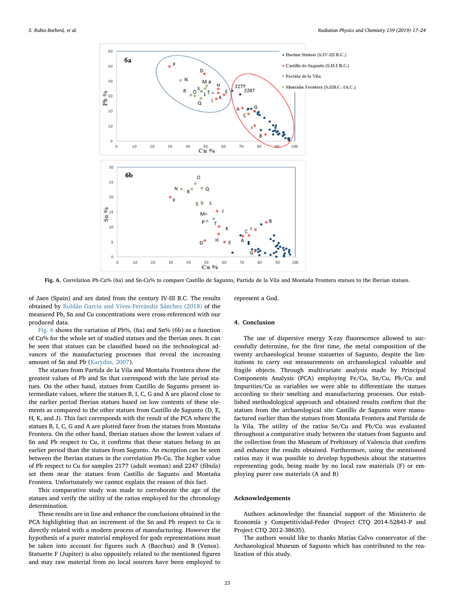<span id="page-6-0"></span>

Fig. 6. Correlation Pb-Cu% (6a) and Sn-Cu% to compare Castillo de Sagunto, Partida de la Vila and Montaña Frontera statues to the Iberian statues.

of Jaen (Spain) and are dated from the century IV-III B.C. The results obtained by [Roldán García and Vives-Ferrándiz Sánchez \(2018\)](#page-7-17) of the measured Pb, Sn and Cu concentrations were cross-referenced with our produced data.

[Fig. 6](#page-6-0) shows the variation of Pb%, (6a) and Sn% (6b) as a function of Cu% for the whole set of studied statues and the Iberian ones. It can be seen that statues can be classified based on the technological advances of the manufacturing processes that reveal the increasing amount of Sn and Pb ([Karydas, 2007\)](#page-7-9).

The statues from Partida de la Vila and Montaña Frontera show the greatest values of Pb and Sn that correspond with the late period statues. On the other hand, statues from Castillo de Sagunto present intermediate values, where the statues B, I, C, G and A are placed close to the earlier period Iberian statues based on low contents of these elements as compared to the other statues from Castillo de Sagunto (D, E, H, K, and J). This fact corresponds with the result of the PCA where the statues B, I, C, G and A are plotted farer from the statues from Montaña Frontera. On the other hand, Iberian statues show the lowest values of Sn and Pb respect to Cu, it confirms that these statues belong to an earlier period than the statues from Sagunto. An exception can be seen between the Iberian statues in the correlation Pb-Cu. The higher value of Pb respect to Cu for samples 2177 (adult woman) and 2247 (fibula) set them near the statues from Castillo de Sagunto and Montaña Frontera. Unfortunately we cannot explain the reason of this fact.

This comparative study was made to corroborate the age of the statues and verify the utility of the ratios employed for the chronology determination.

These results are in line and enhance the conclusions obtained in the PCA highlighting that an increment of the Sn and Pb respect to Cu is directly related with a modern process of manufacturing. However the hypothesis of a purer material employed for gods representations must be taken into account for figures such A (Bacchus) and B (Venus). Statuette F (Jupiter) is also oppositely related to the mentioned figures and may raw material from no local sources have been employed to

represent a God.

#### 4. Conclusion

The use of dispersive energy X-ray fluorescence allowed to successfully determine, for the first time, the metal composition of the twenty archaeological bronze statuettes of Sagunto, despite the limitations to carry out measurements on archaeological valuable and fragile objects. Through multivariate analysis made by Principal Components Analysis (PCA) employing Fe/Cu, Sn/Cu, Pb/Cu and Impurities/Cu as variables we were able to differentiate the statues according to their smelting and manufacturing processes. Our established methodological approach and obtained results confirm that the statues from the archaeological site Castillo de Sagunto were manufactured earlier than the statues from Montaña Frontera and Partida de la Vila. The utility of the ratios Sn/Cu and Pb/Cu was evaluated throughout a comparative study between the statues from Sagunto and the collection from the Museum of Prehistory of Valencia that confirm and enhance the results obtained. Furthermore, using the mentioned ratios may it was possible to develop hypothesis about the statuettes representing gods, being made by no local raw materials (F) or employing purer raw materials (A and B)

## Acknowledgements

Authors acknowledge the financial support of the Ministerio de Economía y Competitividad-Feder (Project CTQ 2014-52841-P and Project CTQ 2012-38635).

The authors would like to thanks Matías Calvo conservator of the Archaeological Museum of Sagunto which has contributed to the realization of this study.